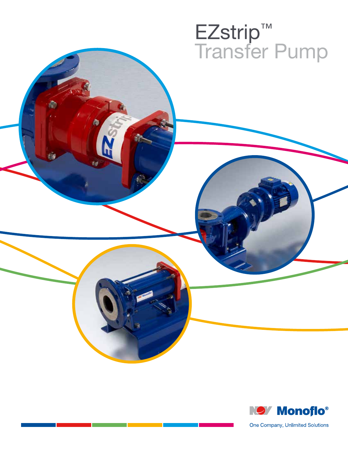# EZstrip™ Transfer Pump



One Company, Unlimited Solutions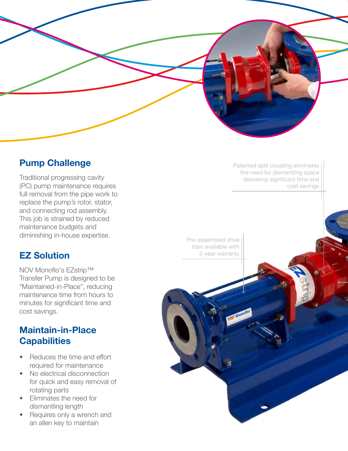

# **Pump Challenge**

Traditional progressing cavity (PC) pump maintenance requires full removal from the pipe work to replace the pump's rotor, stator, and connecting rod assembly. This job is strained by reduced maintenance budgets and diminishing in-house expertise.

# **EZ Solution**

NOV Monoflo's EZstrip™ Transfer Pump is designed to be "Maintained-in-Place", reducing maintenance time from hours to minutes for significant time and cost savings.

# **Maintain-in-Place Capabilities**

- Reduces the time and effort required for maintenance
- No electrical disconnection for quick and easy removal of rotating parts
- Eliminates the need for dismantling length
- Requires only a wrench and an allen key to maintain

Patented split coupling eliminates the need for dismantling space delivering significant time and cost savings

Pre-assembled drive train available with 2-year warranty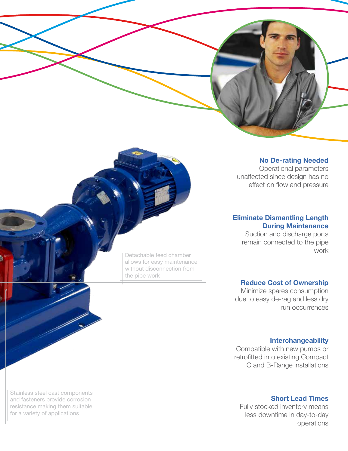**No De-rating Needed**

Operational parameters unaffected since design has no effect on flow and pressure

## **Eliminate Dismantling Length During Maintenance**

Suction and discharge ports remain connected to the pipe work

## **Reduce Cost of Ownership**

Minimize spares consumption due to easy de-rag and less dry run occurrences

## **Interchangeability**

Compatible with new pumps or retrofitted into existing Compact C and B-Range installations

## **Short Lead Times**

Fully stocked inventory means less downtime in day-to-day operations

Detachable feed chamber allows for easy maintenance without disconnection from the pipe work

Stainless steel cast components and fasteners provide corrosion resistance making them suitable for a variety of applications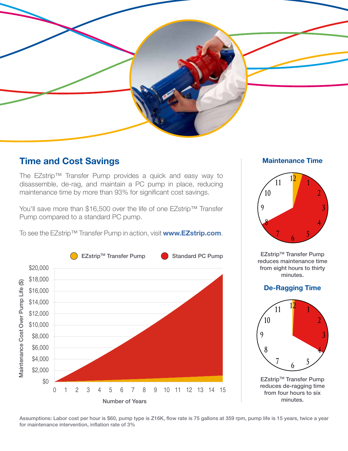

# **Time and Cost Savings**

The EZstrip™ Transfer Pump provides a quick and easy way to disassemble, de-rag, and maintain a PC pump in place, reducing maintenance time by more than 93% for significant cost savings.

You'll save more than \$16,500 over the life of one EZstrip™ Transfer Pump compared to a standard PC pump.

To see the EZstrip™ Transfer Pump in action, visit **www.EZstrip.com**.



## **Maintenance Time**



**EZstrip™ Transfer Pump** reduces maintenance time from eight hours to thirty minutes.

## **De-Ragging Time**



EZstrip™ Transfer Pump reduces de-ragging time from four hours to six minutes.

Assumptions: Labor cost per hour is \$60, pump type is Z16K, flow rate is 75 gallons at 359 rpm, pump life is 15 years, twice a year for maintenance intervention, inflation rate of 3%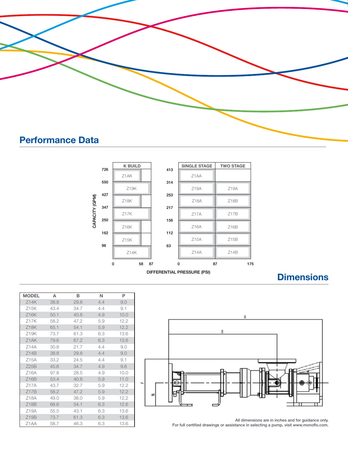



# **Dimensions**



| Z15K | 43.4 | 34.7 | 4.4 | 9.1  |    |
|------|------|------|-----|------|----|
| Z16K | 50.1 | 40.8 | 4.9 | 10.0 |    |
| 717K | 58.2 | 47.2 | 5.9 | 12.2 |    |
| Z18K | 65.1 | 54.1 | 5.9 | 12.2 |    |
| Z19K | 73.7 | 61.3 | 6.3 | 13.6 |    |
| 71AK | 79.6 | 67.2 | 6.3 | 13.6 |    |
| Z14A | 30.8 | 21.7 | 4.4 | 9.0  |    |
| Z14B | 38.8 | 29.8 | 4.4 | 9.0  |    |
| Z15A | 33.2 | 24.5 | 4.4 | 9.1  |    |
| Z25B | 45.6 | 34.7 | 4.9 | 9.6  |    |
| 716A | 97.8 | 28.5 | 4.9 | 10.0 |    |
| Z16B | 53.4 | 40.8 | 5.9 | 11.0 |    |
| 717A | 43.7 | 32.7 | 5.9 | 12.2 | a. |
| Z17B | 58.2 | 47.2 | 5.9 | 12.2 |    |
| Z18A | 49.0 | 38.0 | 5.9 | 12.2 |    |
| Z18B | 68.6 | 54.1 | 6.3 | 12.6 |    |
| Z19A | 55.5 | 43.1 | 6.3 | 13.6 |    |
| Z19B | 73.7 | 61.3 | 6.3 | 13.6 |    |
| Z1AA | 58.7 | 46.3 | 6.3 | 13.6 |    |

**MODEL A B N P** Z14K 38.8 29.8 4.4 9.0

> All dimensions are in inches and for guidance only. For full certified drawings or assistance in selecting a pump, visit www.monoflo.com.